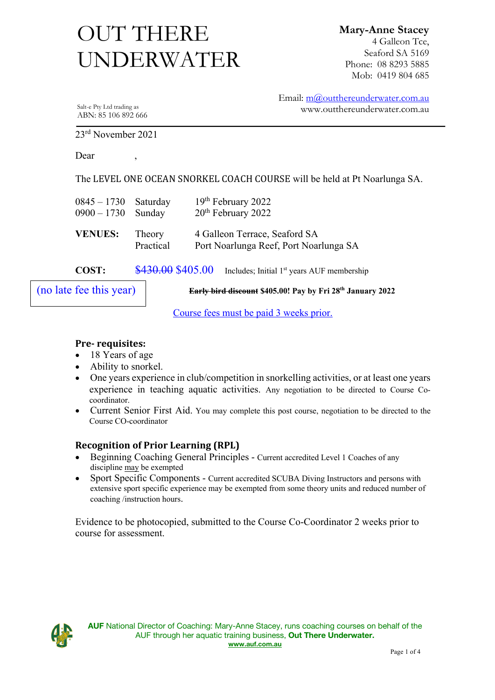# UNDERWATER OUT THERE

**Mary-Anne Stacey** 4 Galleon Tce, Seaford SA 5169 Phone: 08 8293 5885 Mob: 0419 804 685

Salt-e Pty Ltd trading as ABN: 85 106 892 666 Email: m@outthereunderwater.com.au www.outthereunderwater.com.au

23rd November 2021

Dear,

The LEVEL ONE OCEAN SNORKEL COACH COURSE will be held at Pt Noarlunga SA.

| $0845 - 1730$ Saturday<br>$0900 - 1730$ Sunday |                     | 19th February 2022<br>20 <sup>th</sup> February 2022                    |
|------------------------------------------------|---------------------|-------------------------------------------------------------------------|
| <b>VENUES:</b>                                 | Theory<br>Practical | 4 Galleon Terrace, Seaford SA<br>Port Noarlunga Reef, Port Noarlunga SA |
| COST:                                          | \$430.00 \$405.00   | Includes; Initial 1 <sup>st</sup> years AUF membership                  |
| (no late fee this year)                        |                     | Early bird discount \$405.00! Pay by Fri 28th January 2                 |

**Early bird discount \$405.00! Pay by Fri 28th January 2022**

Course fees must be paid 3 weeks prior.

#### **Pre- requisites:**

- 18 Years of age
- Ability to snorkel.
- One years experience in club/competition in snorkelling activities, or at least one years experience in teaching aquatic activities. Any negotiation to be directed to Course Cocoordinator.
- Current Senior First Aid. You may complete this post course, negotiation to be directed to the Course CO-coordinator

#### **Recognition of Prior Learning (RPL)**

- Beginning Coaching General Principles Current accredited Level 1 Coaches of any discipline may be exempted
- Sport Specific Components Current accredited SCUBA Diving Instructors and persons with extensive sport specific experience may be exempted from some theory units and reduced number of coaching /instruction hours.

Evidence to be photocopied, submitted to the Course Co-Coordinator 2 weeks prior to course for assessment.

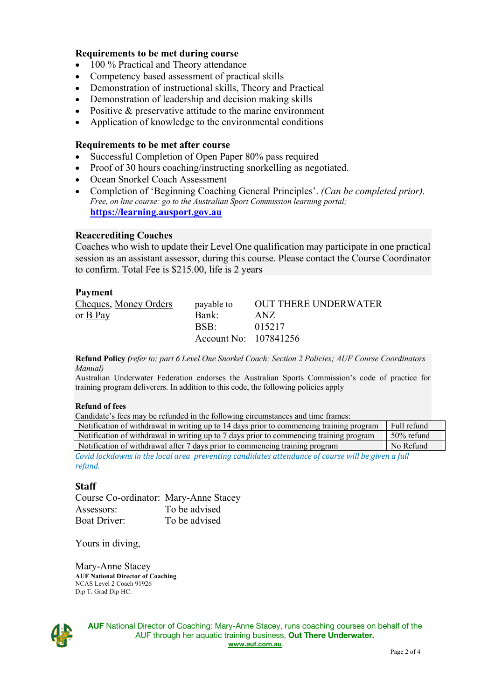#### **Requirements to be met during course**

- 100 % Practical and Theory attendance
- Competency based assessment of practical skills
- Demonstration of instructional skills, Theory and Practical
- Demonstration of leadership and decision making skills
- Positive & preservative attitude to the marine environment
- Application of knowledge to the environmental conditions

#### **Requirements to be met after course**

- Successful Completion of Open Paper 80% pass required
- Proof of 30 hours coaching/instructing snorkelling as negotiated.
- Ocean Snorkel Coach Assessment
- Completion of 'Beginning Coaching General Principles'. *(Can be completed prior). Free, on line course: go to the Australian Sport Commission learning portal;*  **https://learning.ausport.gov.au**

#### **Reaccrediting Coaches**

Coaches who wish to update their Level One qualification may participate in one practical session as an assistant assessor, during this course. Please contact the Course Coordinator to confirm. Total Fee is \$215.00, life is 2 years

#### **Payment**

| Cheques, Money Orders  | payable to            | OUT THERE UNDERWATER |
|------------------------|-----------------------|----------------------|
| or $\underline{B}$ Pay | Bank:                 | ANZ.                 |
|                        | $RSR^T$               | 015217               |
|                        | Account No: 107841256 |                      |

**Refund Policy** *(refer to; part 6 Level One Snorkel Coach; Section 2 Policies; AUF Course Coordinators Manual)*

Australian Underwater Federation endorses the Australian Sports Commission's code of practice for training program deliverers. In addition to this code, the following policies apply

#### **Refund of fees**

| Candidate's fees may be refunded in the following circumstances and time frames:                  |             |  |
|---------------------------------------------------------------------------------------------------|-------------|--|
| Notification of withdrawal in writing up to 14 days prior to commencing training program          | Full refund |  |
| Notification of withdrawal in writing up to 7 days prior to commencing training program           | 50% refund  |  |
| Notification of withdrawal after 7 days prior to commencing training program                      | No Refund   |  |
| Covid lockdowns in the local area preventing candidates attendance of course will be given a full |             |  |

**Staff**

*refund.*

Course Co-ordinator: Mary-Anne Stacey Assessors: To be advised Boat Driver: To be advised

Yours in diving,

Mary-Anne Stacey **AUF National Director of Coaching** NCAS Level 2 Coach 91926 Dip T. Grad Dip HC.



**AUF** National Director of Coaching: Mary-Anne Stacey, runs coaching courses on behalf of the AUF through her aquatic training business, **Out There Underwater. www.auf.com.au**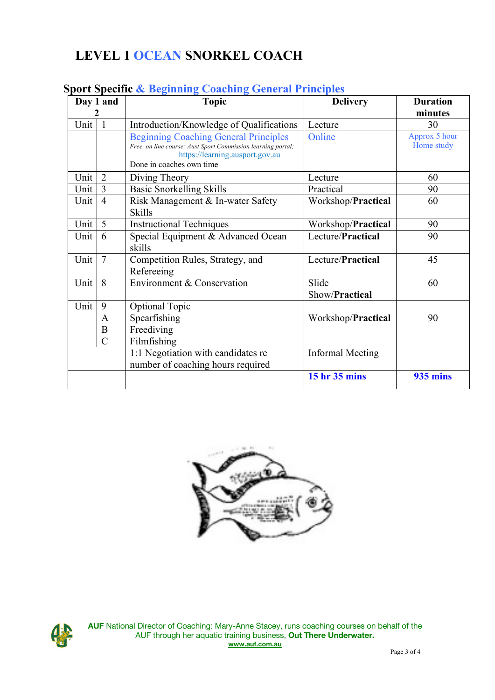# **LEVEL 1 OCEAN SNORKEL COACH**

|          | Day 1 and        | <b>Topic</b>                                                                                                                                                                | <b>Delivery</b>         | <b>Duration</b>             |  |
|----------|------------------|-----------------------------------------------------------------------------------------------------------------------------------------------------------------------------|-------------------------|-----------------------------|--|
|          |                  |                                                                                                                                                                             |                         | minutes                     |  |
| Unit $ $ | $\overline{1}$   | Introduction/Knowledge of Qualifications                                                                                                                                    | Lecture                 | 30                          |  |
|          |                  | <b>Beginning Coaching General Principles</b><br>Free, on line course: Aust Sport Commission learning portal;<br>https://learning.ausport.gov.au<br>Done in coaches own time | Online                  | Approx 5 hour<br>Home study |  |
| Unit     | $\overline{2}$   | Diving Theory                                                                                                                                                               | Lecture                 | 60                          |  |
| Unit     | $\overline{3}$   | <b>Basic Snorkelling Skills</b>                                                                                                                                             | Practical               | 90                          |  |
| Unit     | $\overline{4}$   | Risk Management & In-water Safety<br><b>Skills</b>                                                                                                                          | Workshop/Practical      | 60                          |  |
| Unit     | 5                | <b>Instructional Techniques</b>                                                                                                                                             | Workshop/Practical      | 90                          |  |
| Unit $ $ | 6                | Special Equipment & Advanced Ocean<br>skills                                                                                                                                | Lecture/Practical       | 90                          |  |
| Unit     | $\overline{7}$   | Competition Rules, Strategy, and<br>Refereeing                                                                                                                              | Lecture/Practical       | 45                          |  |
| Unit     | 8                | Environment & Conservation                                                                                                                                                  | Slide<br>Show/Practical | 60                          |  |
| Unit     | 9                | <b>Optional Topic</b>                                                                                                                                                       |                         |                             |  |
|          | $\mathbf{A}$     | Spearfishing                                                                                                                                                                | Workshop/Practical      | 90                          |  |
|          | $\boldsymbol{B}$ | Freediving                                                                                                                                                                  |                         |                             |  |
|          | $\overline{C}$   | Filmfishing                                                                                                                                                                 |                         |                             |  |
|          |                  | 1:1 Negotiation with candidates re<br>number of coaching hours required                                                                                                     | <b>Informal Meeting</b> |                             |  |
|          |                  |                                                                                                                                                                             | 15 hr 35 mins           | <b>935 mins</b>             |  |

### **Sport Specific & Beginning Coaching General Principles**





**AUF** National Director of Coaching: Mary-Anne Stacey, runs coaching courses on behalf of the AUF through her aquatic training business, **Out There Underwater. www.auf.com.au**